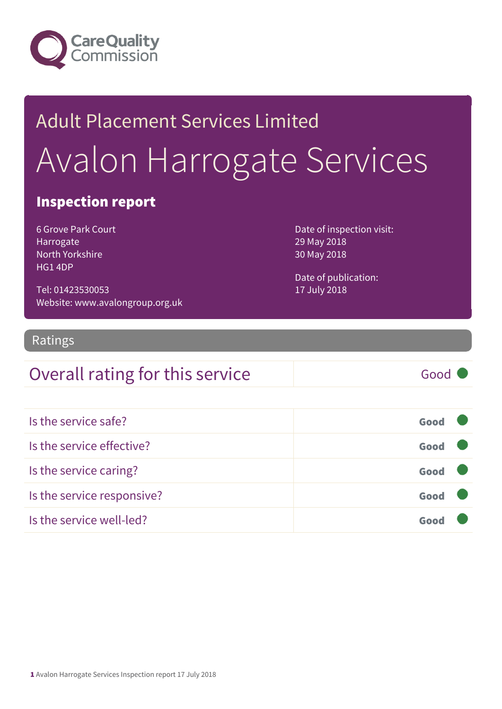

# Adult Placement Services Limited Avalon Harrogate Services

#### Inspection report

6 Grove Park Court Harrogate North Yorkshire HG1 4DP

Tel: 01423530053 Website: www.avalongroup.org.uk Date of inspection visit: 29 May 2018 30 May 2018

Date of publication: 17 July 2018

#### Ratings

#### Overall rating for this service Good

| Is the service safe?       | Good |  |
|----------------------------|------|--|
| Is the service effective?  | Good |  |
| Is the service caring?     | Good |  |
| Is the service responsive? | Good |  |
| Is the service well-led?   | Goo  |  |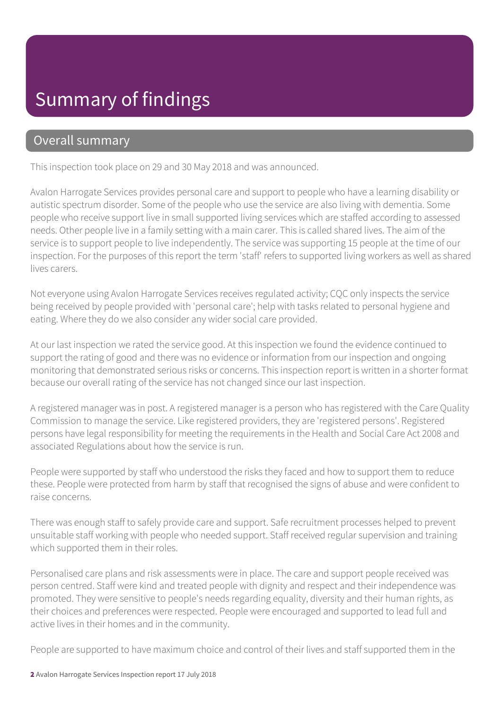## Summary of findings

#### Overall summary

This inspection took place on 29 and 30 May 2018 and was announced.

Avalon Harrogate Services provides personal care and support to people who have a learning disability or autistic spectrum disorder. Some of the people who use the service are also living with dementia. Some people who receive support live in small supported living services which are staffed according to assessed needs. Other people live in a family setting with a main carer. This is called shared lives. The aim of the service is to support people to live independently. The service was supporting 15 people at the time of our inspection. For the purposes of this report the term 'staff' refers to supported living workers as well as shared lives carers.

Not everyone using Avalon Harrogate Services receives regulated activity; CQC only inspects the service being received by people provided with 'personal care'; help with tasks related to personal hygiene and eating. Where they do we also consider any wider social care provided.

At our last inspection we rated the service good. At this inspection we found the evidence continued to support the rating of good and there was no evidence or information from our inspection and ongoing monitoring that demonstrated serious risks or concerns. This inspection report is written in a shorter format because our overall rating of the service has not changed since our last inspection.

A registered manager was in post. A registered manager is a person who has registered with the Care Quality Commission to manage the service. Like registered providers, they are 'registered persons'. Registered persons have legal responsibility for meeting the requirements in the Health and Social Care Act 2008 and associated Regulations about how the service is run.

People were supported by staff who understood the risks they faced and how to support them to reduce these. People were protected from harm by staff that recognised the signs of abuse and were confident to raise concerns.

There was enough staff to safely provide care and support. Safe recruitment processes helped to prevent unsuitable staff working with people who needed support. Staff received regular supervision and training which supported them in their roles.

Personalised care plans and risk assessments were in place. The care and support people received was person centred. Staff were kind and treated people with dignity and respect and their independence was promoted. They were sensitive to people's needs regarding equality, diversity and their human rights, as their choices and preferences were respected. People were encouraged and supported to lead full and active lives in their homes and in the community.

People are supported to have maximum choice and control of their lives and staff supported them in the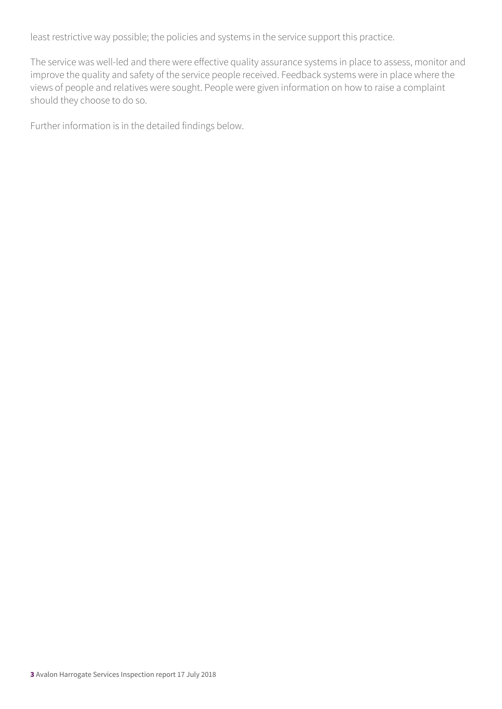least restrictive way possible; the policies and systems in the service support this practice.

The service was well-led and there were effective quality assurance systems in place to assess, monitor and improve the quality and safety of the service people received. Feedback systems were in place where the views of people and relatives were sought. People were given information on how to raise a complaint should they choose to do so.

Further information is in the detailed findings below.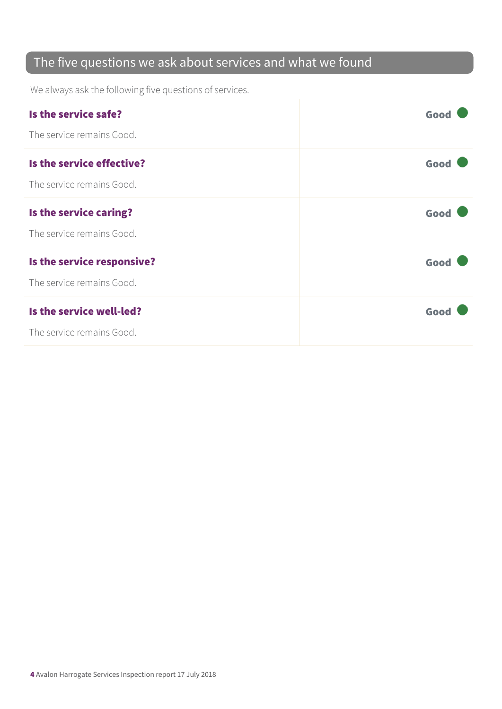#### The five questions we ask about services and what we found

We always ask the following five questions of services.

| Is the service safe?       | Good |
|----------------------------|------|
| The service remains Good.  |      |
| Is the service effective?  | Good |
| The service remains Good.  |      |
| Is the service caring?     | Good |
| The service remains Good.  |      |
| Is the service responsive? | Good |
| The service remains Good.  |      |
| Is the service well-led?   | Good |
| The service remains Good.  |      |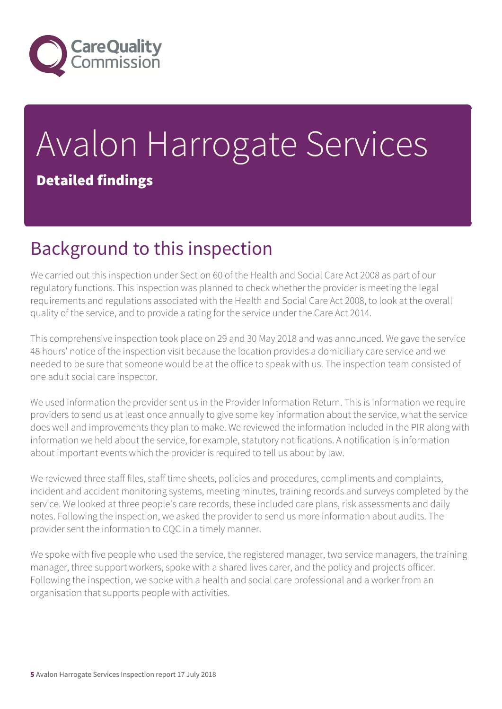

# Avalon Harrogate Services Detailed findings

# Background to this inspection

We carried out this inspection under Section 60 of the Health and Social Care Act 2008 as part of our regulatory functions. This inspection was planned to check whether the provider is meeting the legal requirements and regulations associated with the Health and Social Care Act 2008, to look at the overall quality of the service, and to provide a rating for the service under the Care Act 2014.

This comprehensive inspection took place on 29 and 30 May 2018 and was announced. We gave the service 48 hours' notice of the inspection visit because the location provides a domiciliary care service and we needed to be sure that someone would be at the office to speak with us. The inspection team consisted of one adult social care inspector.

We used information the provider sent us in the Provider Information Return. This is information we require providers to send us at least once annually to give some key information about the service, what the service does well and improvements they plan to make. We reviewed the information included in the PIR along with information we held about the service, for example, statutory notifications. A notification is information about important events which the provider is required to tell us about by law.

We reviewed three staff files, staff time sheets, policies and procedures, compliments and complaints, incident and accident monitoring systems, meeting minutes, training records and surveys completed by the service. We looked at three people's care records, these included care plans, risk assessments and daily notes. Following the inspection, we asked the provider to send us more information about audits. The provider sent the information to CQC in a timely manner.

We spoke with five people who used the service, the registered manager, two service managers, the training manager, three support workers, spoke with a shared lives carer, and the policy and projects officer. Following the inspection, we spoke with a health and social care professional and a worker from an organisation that supports people with activities.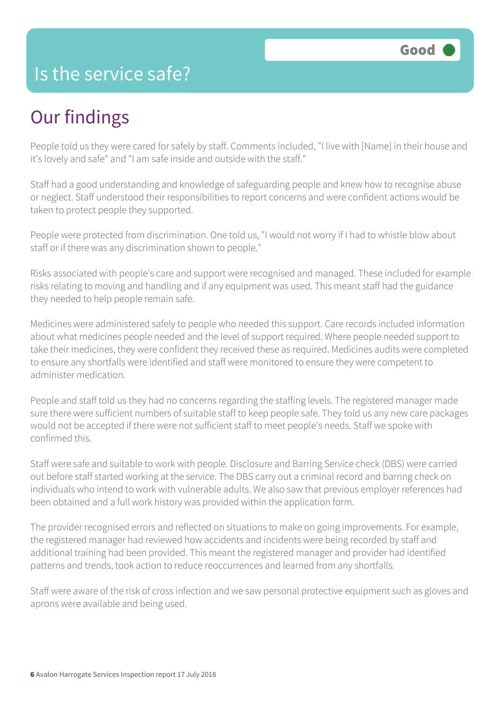#### Is the service safe?

## Our findings

People told us they were cared for safely by staff. Comments included, "I live with [Name] in their house and it's lovely and safe" and "I am safe inside and outside with the staff."

Staff had a good understanding and knowledge of safeguarding people and knew how to recognise abuse or neglect. Staff understood their responsibilities to report concerns and were confident actions would be taken to protect people they supported.

People were protected from discrimination. One told us, "I would not worry if I had to whistle blow about staff or if there was any discrimination shown to people."

Risks associated with people's care and support were recognised and managed. These included for example risks relating to moving and handling and if any equipment was used. This meant staff had the guidance they needed to help people remain safe.

Medicines were administered safely to people who needed this support. Care records included information about what medicines people needed and the level of support required. Where people needed support to take their medicines, they were confident they received these as required. Medicines audits were completed to ensure any shortfalls were identified and staff were monitored to ensure they were competent to administer medication.

People and staff told us they had no concerns regarding the staffing levels. The registered manager made sure there were sufficient numbers of suitable staff to keep people safe. They told us any new care packages would not be accepted if there were not sufficient staff to meet people's needs. Staff we spoke with confirmed this.

Staff were safe and suitable to work with people. Disclosure and Barring Service check (DBS) were carried out before staff started working at the service. The DBS carry out a criminal record and barring check on individuals who intend to work with vulnerable adults. We also saw that previous employer references had been obtained and a full work history was provided within the application form.

The provider recognised errors and reflected on situations to make on going improvements. For example, the registered manager had reviewed how accidents and incidents were being recorded by staff and additional training had been provided. This meant the registered manager and provider had identified patterns and trends, took action to reduce reoccurrences and learned from any shortfalls.

Staff were aware of the risk of cross infection and we saw personal protective equipment such as gloves and aprons were available and being used.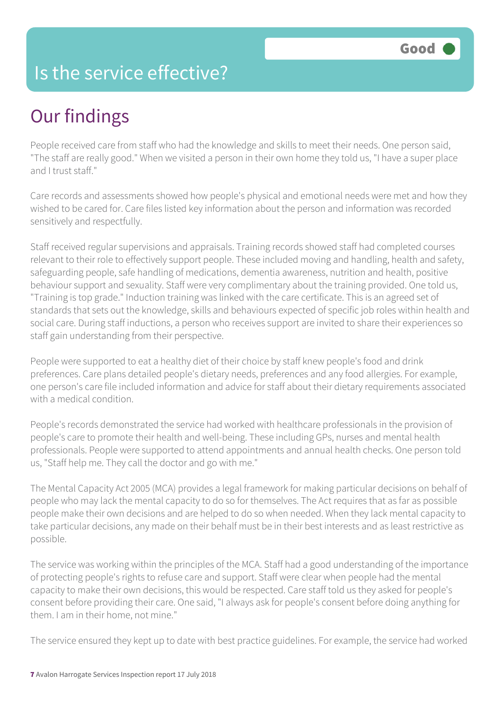## Is the service effective?

# Our findings

People received care from staff who had the knowledge and skills to meet their needs. One person said, "The staff are really good." When we visited a person in their own home they told us, "I have a super place and I trust staff."

Care records and assessments showed how people's physical and emotional needs were met and how they wished to be cared for. Care files listed key information about the person and information was recorded sensitively and respectfully.

Staff received regular supervisions and appraisals. Training records showed staff had completed courses relevant to their role to effectively support people. These included moving and handling, health and safety, safeguarding people, safe handling of medications, dementia awareness, nutrition and health, positive behaviour support and sexuality. Staff were very complimentary about the training provided. One told us, "Training is top grade." Induction training was linked with the care certificate. This is an agreed set of standards that sets out the knowledge, skills and behaviours expected of specific job roles within health and social care. During staff inductions, a person who receives support are invited to share their experiences so staff gain understanding from their perspective.

People were supported to eat a healthy diet of their choice by staff knew people's food and drink preferences. Care plans detailed people's dietary needs, preferences and any food allergies. For example, one person's care file included information and advice for staff about their dietary requirements associated with a medical condition.

People's records demonstrated the service had worked with healthcare professionals in the provision of people's care to promote their health and well-being. These including GPs, nurses and mental health professionals. People were supported to attend appointments and annual health checks. One person told us, "Staff help me. They call the doctor and go with me."

The Mental Capacity Act 2005 (MCA) provides a legal framework for making particular decisions on behalf of people who may lack the mental capacity to do so for themselves. The Act requires that as far as possible people make their own decisions and are helped to do so when needed. When they lack mental capacity to take particular decisions, any made on their behalf must be in their best interests and as least restrictive as possible.

The service was working within the principles of the MCA. Staff had a good understanding of the importance of protecting people's rights to refuse care and support. Staff were clear when people had the mental capacity to make their own decisions, this would be respected. Care staff told us they asked for people's consent before providing their care. One said, "I always ask for people's consent before doing anything for them. I am in their home, not mine."

The service ensured they kept up to date with best practice guidelines. For example, the service had worked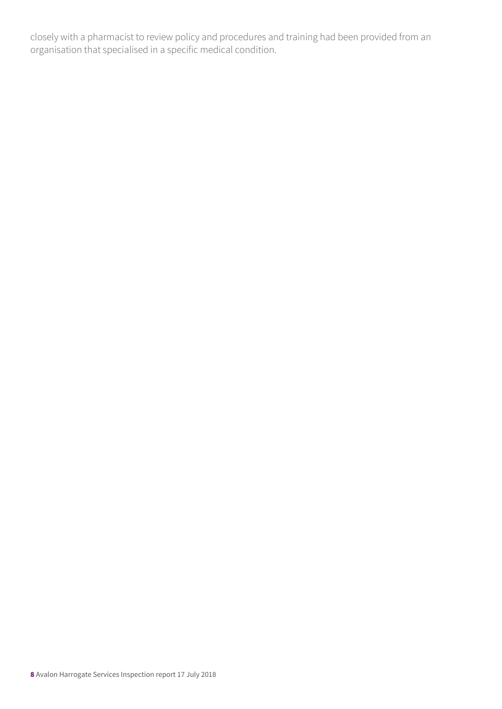closely with a pharmacist to review policy and procedures and training had been provided from an organisation that specialised in a specific medical condition.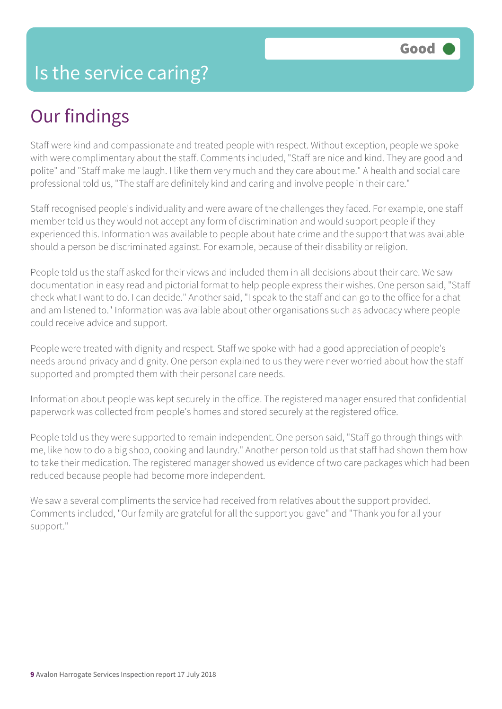# Our findings

Staff were kind and compassionate and treated people with respect. Without exception, people we spoke with were complimentary about the staff. Comments included, "Staff are nice and kind. They are good and polite" and "Staff make me laugh. I like them very much and they care about me." A health and social care professional told us, "The staff are definitely kind and caring and involve people in their care."

Staff recognised people's individuality and were aware of the challenges they faced. For example, one staff member told us they would not accept any form of discrimination and would support people if they experienced this. Information was available to people about hate crime and the support that was available should a person be discriminated against. For example, because of their disability or religion.

People told us the staff asked for their views and included them in all decisions about their care. We saw documentation in easy read and pictorial format to help people express their wishes. One person said, "Staff check what I want to do. I can decide." Another said, "I speak to the staff and can go to the office for a chat and am listened to." Information was available about other organisations such as advocacy where people could receive advice and support.

People were treated with dignity and respect. Staff we spoke with had a good appreciation of people's needs around privacy and dignity. One person explained to us they were never worried about how the staff supported and prompted them with their personal care needs.

Information about people was kept securely in the office. The registered manager ensured that confidential paperwork was collected from people's homes and stored securely at the registered office.

People told us they were supported to remain independent. One person said, "Staff go through things with me, like how to do a big shop, cooking and laundry." Another person told us that staff had shown them how to take their medication. The registered manager showed us evidence of two care packages which had been reduced because people had become more independent.

We saw a several compliments the service had received from relatives about the support provided. Comments included, "Our family are grateful for all the support you gave" and "Thank you for all your support."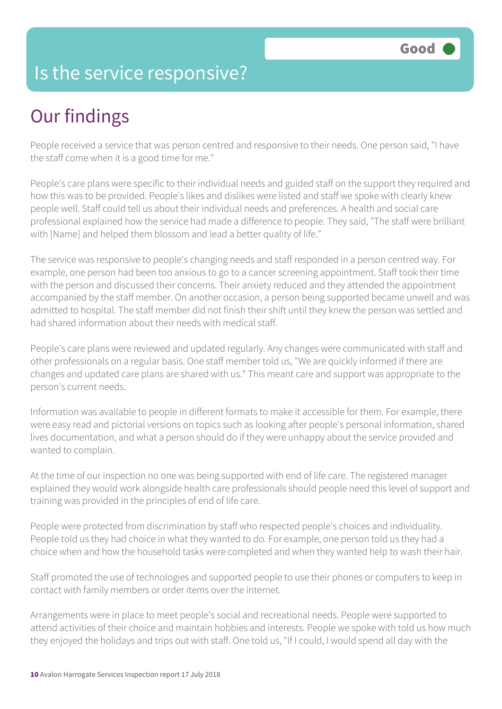## Is the service responsive?

# Our findings

People received a service that was person centred and responsive to their needs. One person said, "I have the staff come when it is a good time for me."

People's care plans were specific to their individual needs and guided staff on the support they required and how this was to be provided. People's likes and dislikes were listed and staff we spoke with clearly knew people well. Staff could tell us about their individual needs and preferences. A health and social care professional explained how the service had made a difference to people. They said, "The staff were brilliant with [Name] and helped them blossom and lead a better quality of life."

The service was responsive to people's changing needs and staff responded in a person centred way. For example, one person had been too anxious to go to a cancer screening appointment. Staff took their time with the person and discussed their concerns. Their anxiety reduced and they attended the appointment accompanied by the staff member. On another occasion, a person being supported became unwell and was admitted to hospital. The staff member did not finish their shift until they knew the person was settled and had shared information about their needs with medical staff.

People's care plans were reviewed and updated regularly. Any changes were communicated with staff and other professionals on a regular basis. One staff member told us, "We are quickly informed if there are changes and updated care plans are shared with us." This meant care and support was appropriate to the person's current needs.

Information was available to people in different formats to make it accessible for them. For example, there were easy read and pictorial versions on topics such as looking after people's personal information, shared lives documentation, and what a person should do if they were unhappy about the service provided and wanted to complain.

At the time of our inspection no one was being supported with end of life care. The registered manager explained they would work alongside health care professionals should people need this level of support and training was provided in the principles of end of life care.

People were protected from discrimination by staff who respected people's choices and individuality. People told us they had choice in what they wanted to do. For example, one person told us they had a choice when and how the household tasks were completed and when they wanted help to wash their hair.

Staff promoted the use of technologies and supported people to use their phones or computers to keep in contact with family members or order items over the internet.

Arrangements were in place to meet people's social and recreational needs. People were supported to attend activities of their choice and maintain hobbies and interests. People we spoke with told us how much they enjoyed the holidays and trips out with staff. One told us, "If I could, I would spend all day with the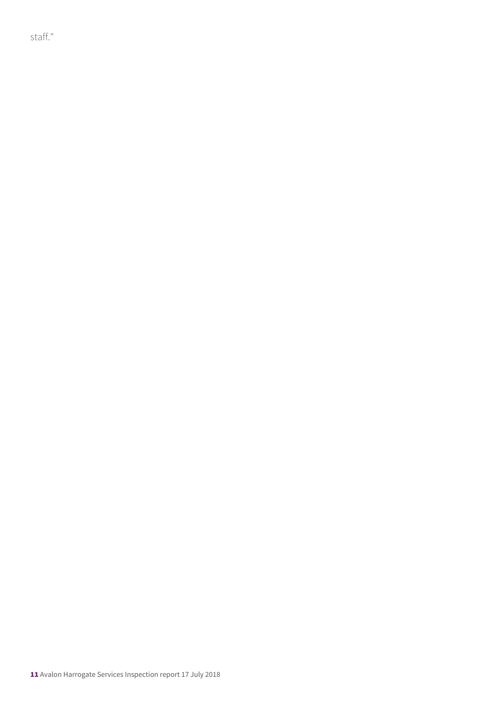staff."